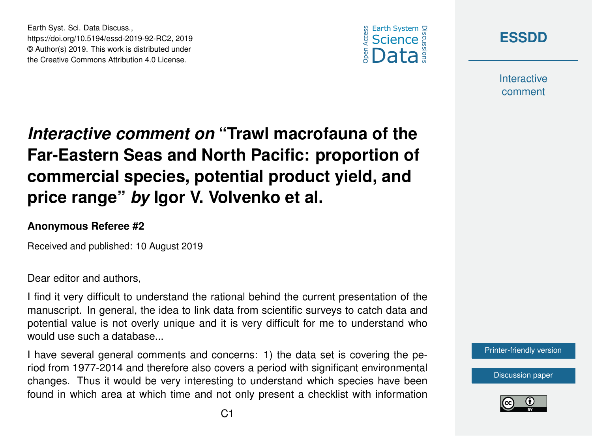



**Interactive** comment

## *Interactive comment on* **"Trawl macrofauna of the Far-Eastern Seas and North Pacific: proportion of commercial species, potential product yield, and price range"** *by* **Igor V. Volvenko et al.**

## **Anonymous Referee #2**

Earth Syst. Sci. Data Discuss.,

https://doi.org/10.5194/essd-2019-92-RC2, 2019 © Author(s) 2019. This work is distributed under the Creative Commons Attribution 4.0 License.

Received and published: 10 August 2019

Dear editor and authors,

I find it very difficult to understand the rational behind the current presentation of the manuscript. In general, the idea to link data from scientific surveys to catch data and potential value is not overly unique and it is very difficult for me to understand who would use such a database...

I have several general comments and concerns: 1) the data set is covering the period from 1977-2014 and therefore also covers a period with significant environmental changes. Thus it would be very interesting to understand which species have been found in which area at which time and not only present a checklist with information



[Discussion paper](https://www.earth-syst-sci-data-discuss.net/essd-2019-92)

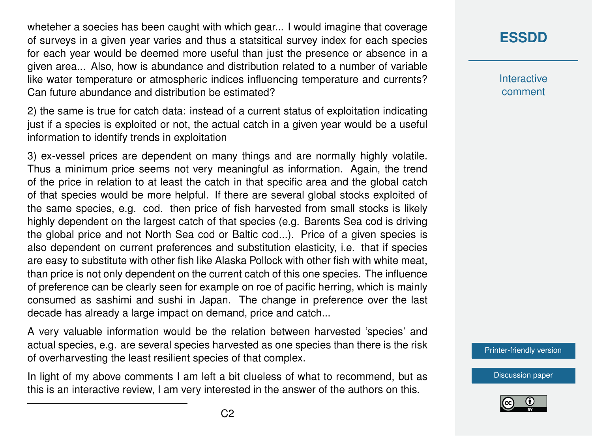wheteher a soecies has been caught with which gear... I would imagine that coverage of surveys in a given year varies and thus a statsitical survey index for each species for each year would be deemed more useful than just the presence or absence in a given area... Also, how is abundance and distribution related to a number of variable like water temperature or atmospheric indices influencing temperature and currents? Can future abundance and distribution be estimated?

2) the same is true for catch data: instead of a current status of exploitation indicating just if a species is exploited or not, the actual catch in a given year would be a useful information to identify trends in exploitation

3) ex-vessel prices are dependent on many things and are normally highly volatile. Thus a minimum price seems not very meaningful as information. Again, the trend of the price in relation to at least the catch in that specific area and the global catch of that species would be more helpful. If there are several global stocks exploited of the same species, e.g. cod. then price of fish harvested from small stocks is likely highly dependent on the largest catch of that species (e.g. Barents Sea cod is driving the global price and not North Sea cod or Baltic cod...). Price of a given species is also dependent on current preferences and substitution elasticity, i.e. that if species are easy to substitute with other fish like Alaska Pollock with other fish with white meat, than price is not only dependent on the current catch of this one species. The influence of preference can be clearly seen for example on roe of pacific herring, which is mainly consumed as sashimi and sushi in Japan. The change in preference over the last decade has already a large impact on demand, price and catch...

A very valuable information would be the relation between harvested 'species' and actual species, e.g. are several species harvested as one species than there is the risk of overharvesting the least resilient species of that complex.

In light of my above comments I am left a bit clueless of what to recommend, but as this is an interactive review, I am very interested in the answer of the authors on this.

## **[ESSDD](https://www.earth-syst-sci-data-discuss.net/)**

**Interactive** comment

[Printer-friendly version](https://www.earth-syst-sci-data-discuss.net/essd-2019-92/essd-2019-92-RC2-print.pdf)

[Discussion paper](https://www.earth-syst-sci-data-discuss.net/essd-2019-92)